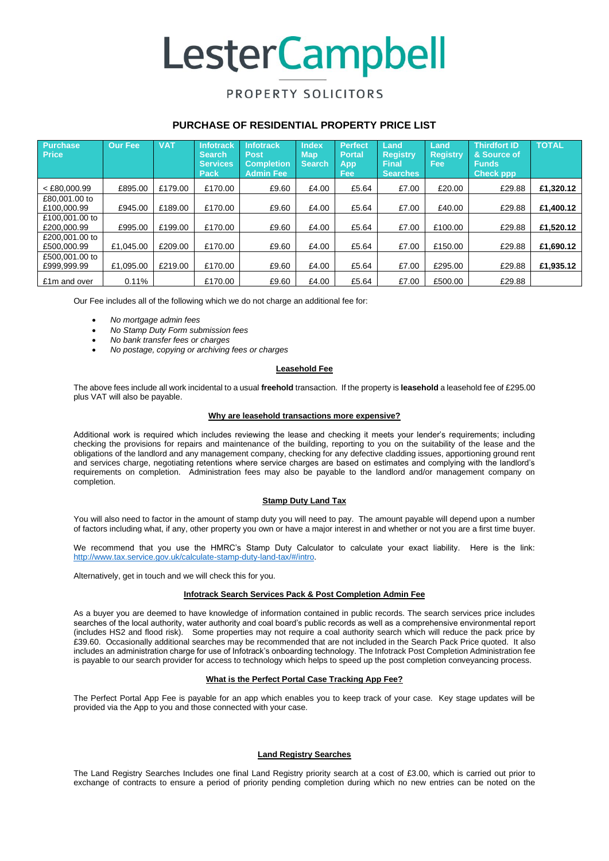# **LesterCampbell**

### PROPERTY SOLICITORS

#### **PURCHASE OF RESIDENTIAL PROPERTY PRICE LIST**

| <b>Purchase</b><br><b>Price</b> | <b>Our Fee</b> | <b>VAT</b> | <b>Infotrack</b><br><b>Search</b><br><b>Services</b><br>Pack | <b>Infotrack</b><br><b>Post</b><br><b>Completion</b><br><b>Admin Fee</b> | <b>Index</b><br><b>Map</b><br><b>Search</b> | <b>Perfect</b><br><b>Portal</b><br>App<br><b>Fee</b> | Land<br><b>Registry</b><br><b>Final</b><br><b>Searches</b> | Land<br><b>Registry</b><br>Fee: | <b>Thirdfort ID</b><br>& Source of<br><b>Funds</b><br><b>Check ppp</b> | <b>TOTAL</b> |
|---------------------------------|----------------|------------|--------------------------------------------------------------|--------------------------------------------------------------------------|---------------------------------------------|------------------------------------------------------|------------------------------------------------------------|---------------------------------|------------------------------------------------------------------------|--------------|
| $<$ £80,000.99                  | £895.00        | £179.00    | £170.00                                                      | £9.60                                                                    | £4.00                                       | £5.64                                                | £7.00                                                      | £20.00                          | £29.88                                                                 | £1.320.12    |
| £80,001.00 to<br>£100,000.99    | £945.00        | £189.00    | £170.00                                                      | £9.60                                                                    | £4.00                                       | £5.64                                                | £7.00                                                      | £40.00                          | £29.88                                                                 | £1,400.12    |
| £100,001,00 to<br>£200,000.99   | £995.00        | £199.00    | £170.00                                                      | £9.60                                                                    | £4.00                                       | £5.64                                                | £7.00                                                      | £100.00                         | £29.88                                                                 | £1,520.12    |
| £200,001.00 to<br>£500,000.99   | £1.045.00      | £209.00    | £170.00                                                      | £9.60                                                                    | £4.00                                       | £5.64                                                | £7.00                                                      | £150.00                         | £29.88                                                                 | £1,690.12    |
| £500,001,00 to<br>£999.999.99   | £1.095.00      | £219.00    | £170.00                                                      | £9.60                                                                    | £4.00                                       | £5.64                                                | £7.00                                                      | £295.00                         | £29.88                                                                 | £1.935.12    |
| £1m and over                    | 0.11%          |            | £170.00                                                      | £9.60                                                                    | £4.00                                       | £5.64                                                | £7.00                                                      | £500.00                         | £29.88                                                                 |              |

Our Fee includes all of the following which we do not charge an additional fee for:

- *No mortgage admin fees*
- *No Stamp Duty Form submission fees*
- *No bank transfer fees or charges*
- *No postage, copying or archiving fees or charges*

#### **Leasehold Fee**

The above fees include all work incidental to a usual **freehold** transaction. If the property is **leasehold** a leasehold fee of £295.00 plus VAT will also be payable.

#### **Why are leasehold transactions more expensive?**

Additional work is required which includes reviewing the lease and checking it meets your lender's requirements; including checking the provisions for repairs and maintenance of the building, reporting to you on the suitability of the lease and the obligations of the landlord and any management company, checking for any defective cladding issues, apportioning ground rent and services charge, negotiating retentions where service charges are based on estimates and complying with the landlord's requirements on completion. Administration fees may also be payable to the landlord and/or management company on completion.

#### **Stamp Duty Land Tax**

You will also need to factor in the amount of stamp duty you will need to pay. The amount payable will depend upon a number of factors including what, if any, other property you own or have a major interest in and whether or not you are a first time buyer.

We recommend that you use the HMRC's Stamp Duty Calculator to calculate your exact liability. Here is the link: [http://www.tax.service.gov.uk/calculate-stamp-duty-land-tax/#/intro.](http://www.tax.service.gov.uk/calculate-stamp-duty-land-tax/#/intro)

Alternatively, get in touch and we will check this for you.

#### **Infotrack Search Services Pack & Post Completion Admin Fee**

As a buyer you are deemed to have knowledge of information contained in public records. The search services price includes searches of the local authority, water authority and coal board's public records as well as a comprehensive environmental report (includes HS2 and flood risk). Some properties may not require a coal authority search which will reduce the pack price by £39.60. Occasionally additional searches may be recommended that are not included in the Search Pack Price quoted. It also includes an administration charge for use of Infotrack's onboarding technology. The Infotrack Post Completion Administration fee is payable to our search provider for access to technology which helps to speed up the post completion conveyancing process.

#### **What is the Perfect Portal Case Tracking App Fee?**

The Perfect Portal App Fee is payable for an app which enables you to keep track of your case. Key stage updates will be provided via the App to you and those connected with your case.

#### **Land Registry Searches**

The Land Registry Searches Includes one final Land Registry priority search at a cost of £3.00, which is carried out prior to exchange of contracts to ensure a period of priority pending completion during which no new entries can be noted on the